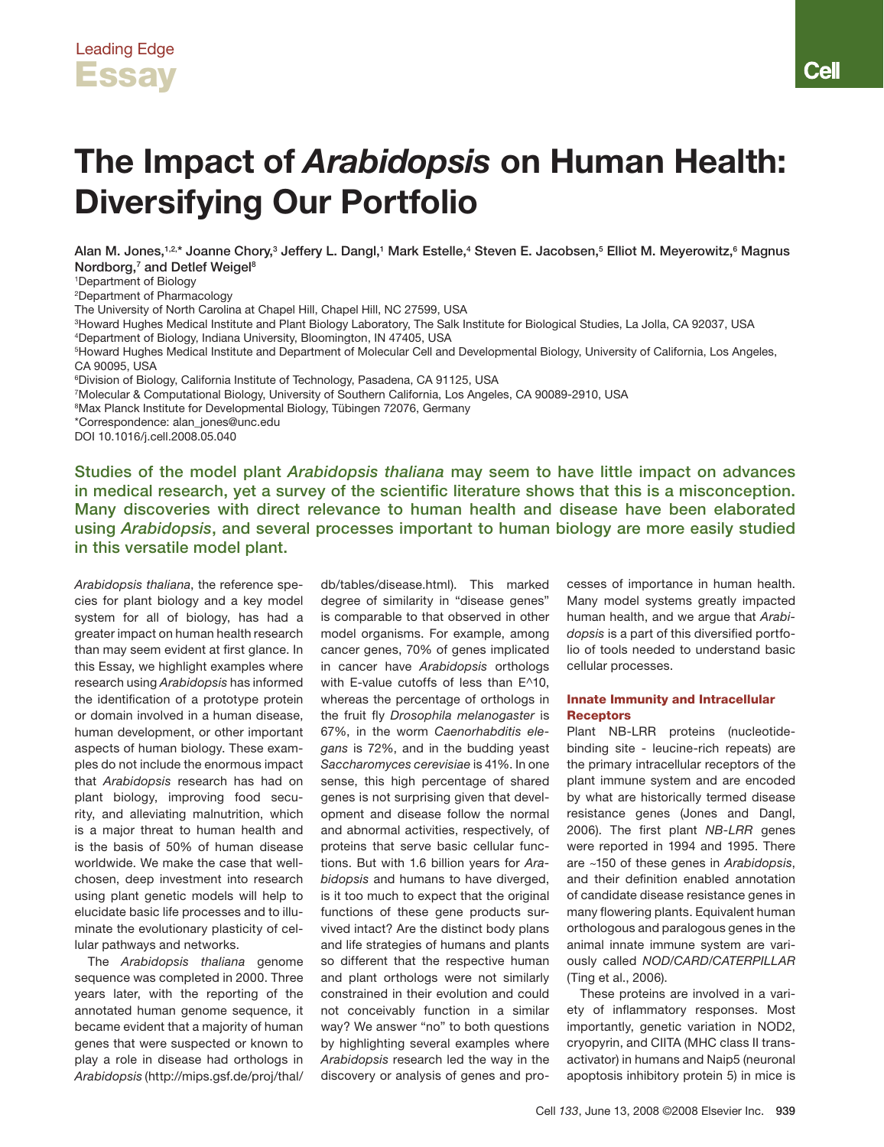# The Impact of *Arabidopsis* on Human Health: Diversifying Our Portfolio

Alan M. Jones,12\* Joanne Chory,<sup>3</sup> Jeffery L. Dangl,1 Mark Estelle,<sup>4</sup> Steven E. Jacobsen,<sup>5</sup> Elliot M. Meyerowitz,<sup>6</sup> Magnus Nordborg,<sup>7</sup> and Detlef Weigel<sup>8</sup>

1 Department of Biology

2 Department of Pharmacology

The University of North Carolina at Chapel Hill, Chapel Hill, NC 27599, USA

3 Howard Hughes Medical Institute and Plant Biology Laboratory, The Salk Institute for Biological Studies, La Jolla, CA 92037, USA

4 Department of Biology, Indiana University, Bloomington, IN 47405, USA

5 Howard Hughes Medical Institute and Department of Molecular Cell and Developmental Biology, University of California, Los Angeles, CA 90095, USA

6 Division of Biology, California Institute of Technology, Pasadena, CA 91125, USA

7 Molecular & Computational Biology, University of Southern California, Los Angeles, CA 90089-2910, USA

8 Max Planck Institute for Developmental Biology, Tübingen 72076, Germany

\*Correspondence: alan\_jones@unc.edu

DOI 10.1016/j.cell.2008.05.040

Studies of the model plant *Arabidopsis thaliana* may seem to have little impact on advances in medical research, yet a survey of the scientific literature shows that this is a misconception. Many discoveries with direct relevance to human health and disease have been elaborated using *Arabidopsis*, and several processes important to human biology are more easily studied in this versatile model plant.

*Arabidopsis thaliana*, the reference species for plant biology and a key model system for all of biology, has had a greater impact on human health research than may seem evident at first glance. In this Essay, we highlight examples where research using *Arabidopsis* has informed the identification of a prototype protein or domain involved in a human disease, human development, or other important aspects of human biology. These examples do not include the enormous impact that *Arabidopsis* research has had on plant biology, improving food security, and alleviating malnutrition, which is a major threat to human health and is the basis of 50% of human disease worldwide. We make the case that wellchosen, deep investment into research using plant genetic models will help to elucidate basic life processes and to illuminate the evolutionary plasticity of cellular pathways and networks.

The *Arabidopsis thaliana* genome sequence was completed in 2000. Three years later, with the reporting of the annotated human genome sequence, it became evident that a majority of human genes that were suspected or known to play a role in disease had orthologs in *Arabidopsis* (http://mips.gsf.de/proj/thal/

db/tables/disease.html). This marked degree of similarity in "disease genes" is comparable to that observed in other model organisms. For example, among cancer genes, 70% of genes implicated in cancer have *Arabidopsis* orthologs with E-value cutoffs of less than E^10, whereas the percentage of orthologs in the fruit fly *Drosophila melanogaster* is 67%, in the worm *Caenorhabditis elegans* is 72%, and in the budding yeast *Saccharomyces cerevisiae* is 41%. In one sense, this high percentage of shared genes is not surprising given that development and disease follow the normal and abnormal activities, respectively, of proteins that serve basic cellular functions. But with 1.6 billion years for *Arabidopsis* and humans to have diverged, is it too much to expect that the original functions of these gene products survived intact? Are the distinct body plans and life strategies of humans and plants so different that the respective human and plant orthologs were not similarly constrained in their evolution and could not conceivably function in a similar way? We answer "no" to both questions by highlighting several examples where *Arabidopsis* research led the way in the discovery or analysis of genes and pro-

cesses of importance in human health. Many model systems greatly impacted human health, and we argue that *Arabidopsis* is a part of this diversified portfolio of tools needed to understand basic cellular processes.

# Innate Immunity and Intracellular **Receptors**

Plant NB-LRR proteins (nucleotidebinding site - leucine-rich repeats) are the primary intracellular receptors of the plant immune system and are encoded by what are historically termed disease resistance genes (Jones and Dangl, 2006). The first plant *NB-LRR* genes were reported in 1994 and 1995. There are ~150 of these genes in *Arabidopsis*, and their definition enabled annotation of candidate disease resistance genes in many flowering plants. Equivalent human orthologous and paralogous genes in the animal innate immune system are variously called *NOD*/*CARD*/*CATERPILLAR* (Ting et al., 2006).

These proteins are involved in a variety of inflammatory responses. Most importantly, genetic variation in NOD2, cryopyrin, and CIITA (MHC class II transactivator) in humans and Naip5 (neuronal apoptosis inhibitory protein 5) in mice is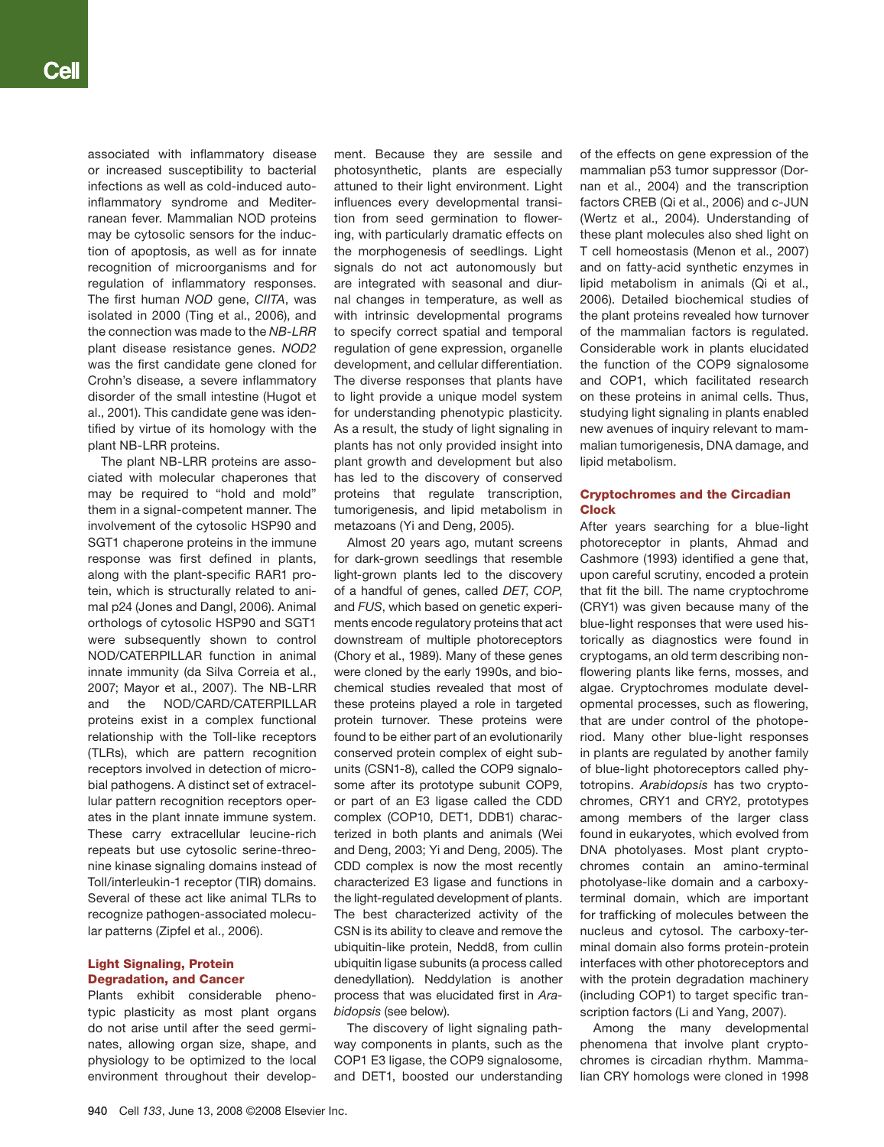associated with inflammatory disease or increased susceptibility to bacterial infections as well as cold-induced autoinflammatory syndrome and Mediterranean fever. Mammalian NOD proteins may be cytosolic sensors for the induction of apoptosis, as well as for innate recognition of microorganisms and for regulation of inflammatory responses. The first human *NOD* gene, *CIITA*, was isolated in 2000 (Ting et al., 2006), and the connection was made to the *NB-LRR* plant disease resistance genes. *NOD2* was the first candidate gene cloned for Crohn's disease, a severe inflammatory disorder of the small intestine (Hugot et al., 2001). This candidate gene was identified by virtue of its homology with the plant NB-LRR proteins.

The plant NB-LRR proteins are associated with molecular chaperones that may be required to "hold and mold" them in a signal-competent manner. The involvement of the cytosolic HSP90 and SGT1 chaperone proteins in the immune response was first defined in plants, along with the plant-specific RAR1 protein, which is structurally related to animal p24 (Jones and Dangl, 2006). Animal orthologs of cytosolic HSP90 and SGT1 were subsequently shown to control NOD/CATERPILLAR function in animal innate immunity (da Silva Correia et al., 2007; Mayor et al., 2007). The NB-LRR and the NOD/CARD/CATERPILLAR proteins exist in a complex functional relationship with the Toll-like receptors (TLRs), which are pattern recognition receptors involved in detection of microbial pathogens. A distinct set of extracellular pattern recognition receptors operates in the plant innate immune system. These carry extracellular leucine-rich repeats but use cytosolic serine-threonine kinase signaling domains instead of Toll/interleukin-1 receptor (TIR) domains. Several of these act like animal TLRs to recognize pathogen-associated molecular patterns (Zipfel et al., 2006).

#### Light Signaling, Protein Degradation, and Cancer

Plants exhibit considerable phenotypic plasticity as most plant organs do not arise until after the seed germinates, allowing organ size, shape, and physiology to be optimized to the local environment throughout their development. Because they are sessile and photosynthetic, plants are especially attuned to their light environment. Light influences every developmental transition from seed germination to flowering, with particularly dramatic effects on the morphogenesis of seedlings. Light signals do not act autonomously but are integrated with seasonal and diurnal changes in temperature, as well as with intrinsic developmental programs to specify correct spatial and temporal regulation of gene expression, organelle development, and cellular differentiation. The diverse responses that plants have to light provide a unique model system for understanding phenotypic plasticity. As a result, the study of light signaling in plants has not only provided insight into plant growth and development but also has led to the discovery of conserved proteins that regulate transcription, tumorigenesis, and lipid metabolism in metazoans (Yi and Deng, 2005).

Almost 20 years ago, mutant screens for dark-grown seedlings that resemble light-grown plants led to the discovery of a handful of genes, called *DET*, *COP*, and *FUS*, which based on genetic experiments encode regulatory proteins that act downstream of multiple photoreceptors (Chory et al., 1989). Many of these genes were cloned by the early 1990s, and biochemical studies revealed that most of these proteins played a role in targeted protein turnover. These proteins were found to be either part of an evolutionarily conserved protein complex of eight subunits (CSN1-8), called the COP9 signalosome after its prototype subunit COP9, or part of an E3 ligase called the CDD complex (COP10, DET1, DDB1) characterized in both plants and animals (Wei and Deng, 2003; Yi and Deng, 2005). The CDD complex is now the most recently characterized E3 ligase and functions in the light-regulated development of plants. The best characterized activity of the CSN is its ability to cleave and remove the ubiquitin-like protein, Nedd8, from cullin ubiquitin ligase subunits (a process called denedyllation). Neddylation is another process that was elucidated first in *Arabidopsis* (see below).

The discovery of light signaling pathway components in plants, such as the COP1 E3 ligase, the COP9 signalosome, and DET1, boosted our understanding of the effects on gene expression of the mammalian p53 tumor suppressor (Dornan et al., 2004) and the transcription factors CREB (Qi et al., 2006) and c-JUN (Wertz et al., 2004). Understanding of these plant molecules also shed light on T cell homeostasis (Menon et al., 2007) and on fatty-acid synthetic enzymes in lipid metabolism in animals (Qi et al., 2006). Detailed biochemical studies of the plant proteins revealed how turnover of the mammalian factors is regulated. Considerable work in plants elucidated the function of the COP9 signalosome and COP1, which facilitated research on these proteins in animal cells. Thus, studying light signaling in plants enabled new avenues of inquiry relevant to mammalian tumorigenesis, DNA damage, and lipid metabolism.

# Cryptochromes and the Circadian Clock

After years searching for a blue-light photoreceptor in plants, Ahmad and Cashmore (1993) identified a gene that, upon careful scrutiny, encoded a protein that fit the bill. The name cryptochrome (CRY1) was given because many of the blue-light responses that were used historically as diagnostics were found in cryptogams, an old term describing nonflowering plants like ferns, mosses, and algae. Cryptochromes modulate developmental processes, such as flowering, that are under control of the photoperiod. Many other blue-light responses in plants are regulated by another family of blue-light photoreceptors called phytotropins. *Arabidopsis* has two cryptochromes, CRY1 and CRY2, prototypes among members of the larger class found in eukaryotes, which evolved from DNA photolyases. Most plant cryptochromes contain an amino-terminal photolyase-like domain and a carboxyterminal domain, which are important for trafficking of molecules between the nucleus and cytosol. The carboxy-terminal domain also forms protein-protein interfaces with other photoreceptors and with the protein degradation machinery (including COP1) to target specific transcription factors (Li and Yang, 2007).

Among the many developmental phenomena that involve plant cryptochromes is circadian rhythm. Mammalian CRY homologs were cloned in 1998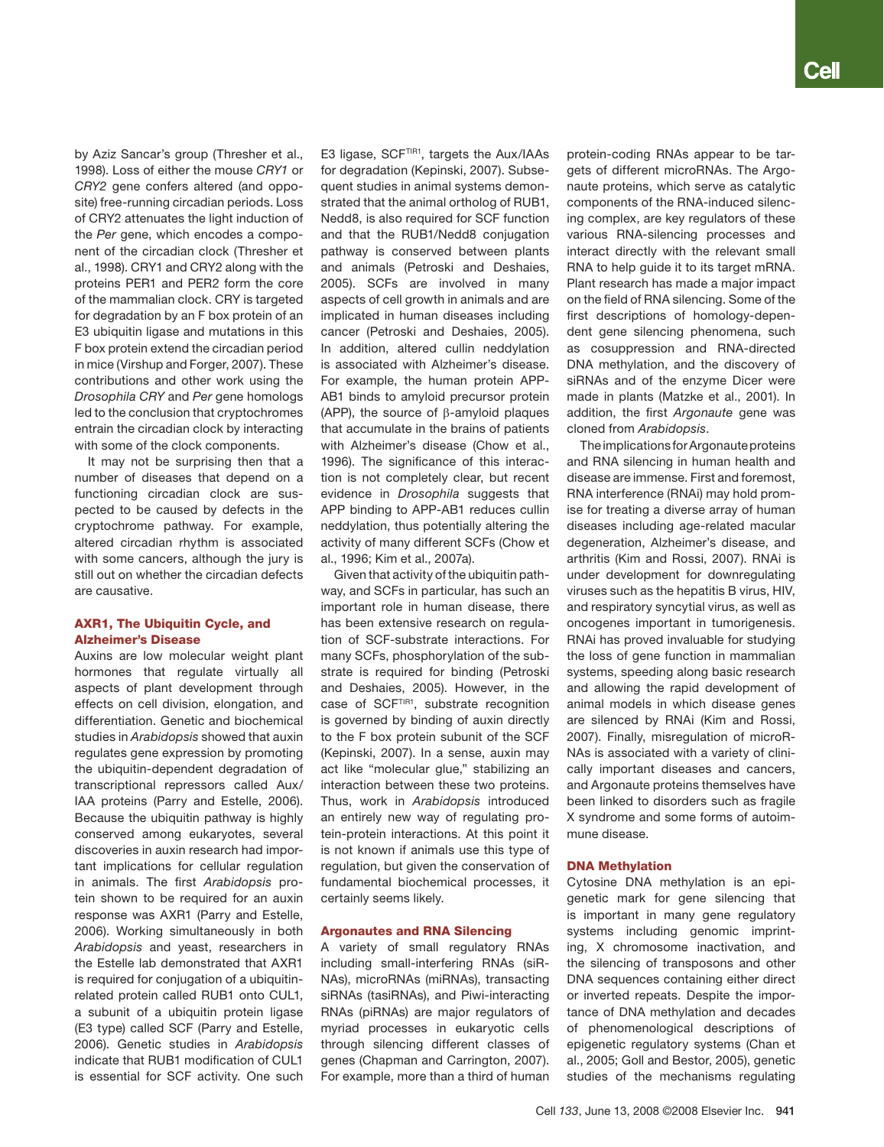by Aziz Sancar's group (Thresher et al., 1998). Loss of either the mouse *CRY1* or *CRY2* gene confers altered (and opposite) free-running circadian periods. Loss of CRY2 attenuates the light induction of the *Per* gene, which encodes a component of the circadian clock (Thresher et al., 1998). CRY1 and CRY2 along with the proteins PER1 and PER2 form the core of the mammalian clock. CRY is targeted for degradation by an F box protein of an E3 ubiquitin ligase and mutations in this F box protein extend the circadian period in mice (Virshup and Forger, 2007). These contributions and other work using the *Drosophila CRY* and *Per* gene homologs led to the conclusion that cryptochromes entrain the circadian clock by interacting with some of the clock components.

It may not be surprising then that a number of diseases that depend on a functioning circadian clock are suspected to be caused by defects in the cryptochrome pathway. For example, altered circadian rhythm is associated with some cancers, although the jury is still out on whether the circadian defects are causative.

# AXR1, The Ubiquitin Cycle, and Alzheimer's Disease

Auxins are low molecular weight plant hormones that regulate virtually all aspects of plant development through effects on cell division, elongation, and differentiation. Genetic and biochemical studies in *Arabidopsis* showed that auxin regulates gene expression by promoting the ubiquitin-dependent degradation of transcriptional repressors called Aux/ IAA proteins (Parry and Estelle, 2006). Because the ubiquitin pathway is highly conserved among eukaryotes, several discoveries in auxin research had important implications for cellular regulation in animals. The first *Arabidopsis* protein shown to be required for an auxin response was AXR1 (Parry and Estelle, 2006). Working simultaneously in both *Arabidopsis* and yeast, researchers in the Estelle lab demonstrated that AXR1 is required for conjugation of a ubiquitinrelated protein called RUB1 onto CUL1, a subunit of a ubiquitin protein ligase (E3 type) called SCF (Parry and Estelle, 2006). Genetic studies in *Arabidopsis* indicate that RUB1 modification of CUL1 is essential for SCF activity. One such

E3 ligase, SCFTIR1, targets the Aux/IAAs for degradation (Kepinski, 2007). Subsequent studies in animal systems demonstrated that the animal ortholog of RUB1, Nedd8, is also required for SCF function and that the RUB1/Nedd8 conjugation pathway is conserved between plants and animals (Petroski and Deshaies, 2005). SCFs are involved in many aspects of cell growth in animals and are implicated in human diseases including cancer (Petroski and Deshaies, 2005). In addition, altered cullin neddylation is associated with Alzheimer's disease. For example, the human protein APP-AB1 binds to amyloid precursor protein (APP), the source of β-amyloid plaques that accumulate in the brains of patients with Alzheimer's disease (Chow et al., 1996). The significance of this interaction is not completely clear, but recent evidence in *Drosophila* suggests that APP binding to APP-AB1 reduces cullin neddylation, thus potentially altering the activity of many different SCFs (Chow et al., 1996; Kim et al., 2007a).

Given that activity of the ubiquitin pathway, and SCFs in particular, has such an important role in human disease, there has been extensive research on regulation of SCF-substrate interactions. For many SCFs, phosphorylation of the substrate is required for binding (Petroski and Deshaies, 2005). However, in the case of SCF<sup>TIR1</sup>, substrate recognition is governed by binding of auxin directly to the F box protein subunit of the SCF (Kepinski, 2007). In a sense, auxin may act like "molecular glue," stabilizing an interaction between these two proteins. Thus, work in *Arabidopsis* introduced an entirely new way of regulating protein-protein interactions. At this point it is not known if animals use this type of regulation, but given the conservation of fundamental biochemical processes, it certainly seems likely.

#### Argonautes and RNA Silencing

A variety of small regulatory RNAs including small-interfering RNAs (siR-NAs), microRNAs (miRNAs), transacting siRNAs (tasiRNAs), and Piwi-interacting RNAs (piRNAs) are major regulators of myriad processes in eukaryotic cells through silencing different classes of genes (Chapman and Carrington, 2007). For example, more than a third of human

protein-coding RNAs appear to be targets of different microRNAs. The Argonaute proteins, which serve as catalytic components of the RNA-induced silencing complex, are key regulators of these various RNA-silencing processes and interact directly with the relevant small RNA to help guide it to its target mRNA. Plant research has made a major impact on the field of RNA silencing. Some of the first descriptions of homology-dependent gene silencing phenomena, such as cosuppression and RNA-directed DNA methylation, and the discovery of siRNAs and of the enzyme Dicer were made in plants (Matzke et al., 2001). In addition, the first *Argonaute* gene was cloned from *Arabidopsis*.

The implications for Argonaute proteins and RNA silencing in human health and disease are immense. First and foremost, RNA interference (RNAi) may hold promise for treating a diverse array of human diseases including age-related macular degeneration, Alzheimer's disease, and arthritis (Kim and Rossi, 2007). RNAi is under development for downregulating viruses such as the hepatitis B virus, HIV, and respiratory syncytial virus, as well as oncogenes important in tumorigenesis. RNAi has proved invaluable for studying the loss of gene function in mammalian systems, speeding along basic research and allowing the rapid development of animal models in which disease genes are silenced by RNAi (Kim and Rossi, 2007). Finally, misregulation of microR-NAs is associated with a variety of clinically important diseases and cancers, and Argonaute proteins themselves have been linked to disorders such as fragile X syndrome and some forms of autoimmune disease.

#### DNA Methylation

Cytosine DNA methylation is an epigenetic mark for gene silencing that is important in many gene regulatory systems including genomic imprinting, X chromosome inactivation, and the silencing of transposons and other DNA sequences containing either direct or inverted repeats. Despite the importance of DNA methylation and decades of phenomenological descriptions of epigenetic regulatory systems (Chan et al., 2005; Goll and Bestor, 2005), genetic studies of the mechanisms regulating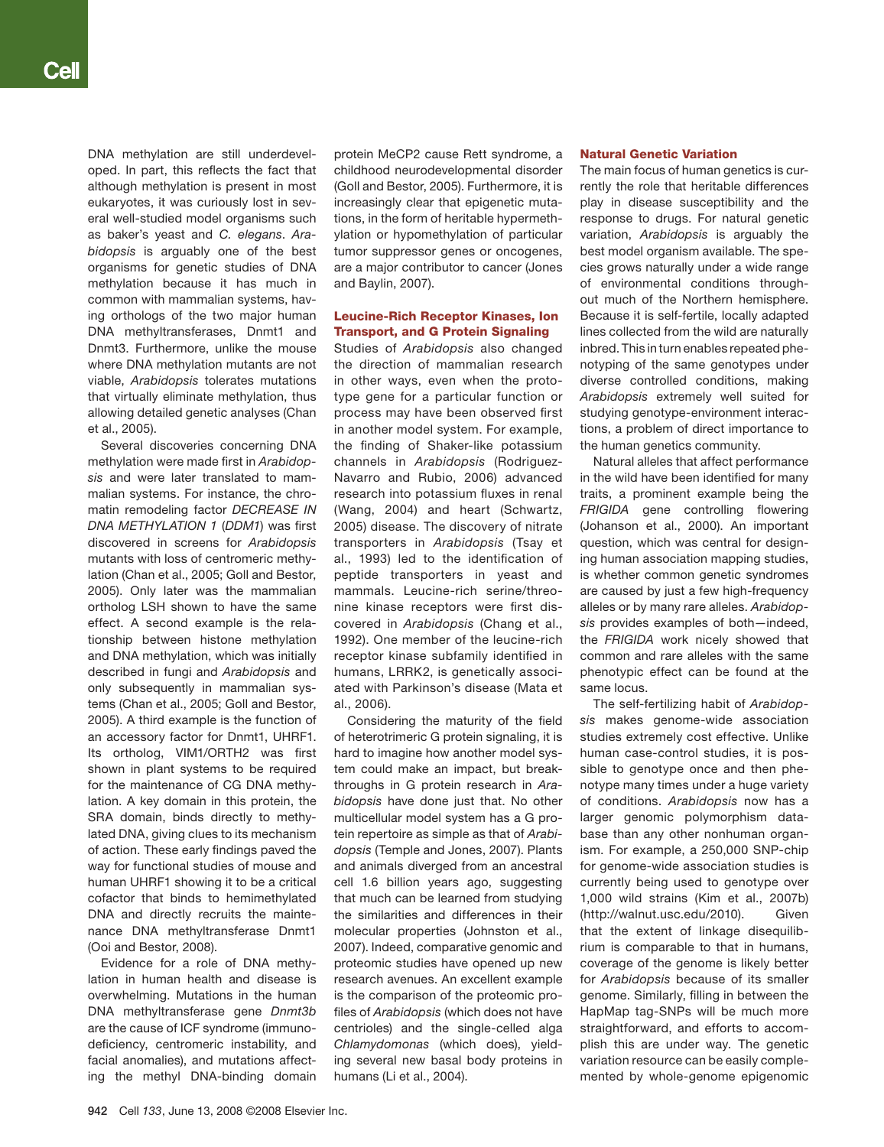DNA methylation are still underdeveloped. In part, this reflects the fact that although methylation is present in most eukaryotes, it was curiously lost in several well-studied model organisms such as baker's yeast and *C. elegans*. *Arabidopsis* is arguably one of the best organisms for genetic studies of DNA methylation because it has much in common with mammalian systems, having orthologs of the two major human DNA methyltransferases, Dnmt1 and Dnmt3. Furthermore, unlike the mouse where DNA methylation mutants are not viable, *Arabidopsis* tolerates mutations that virtually eliminate methylation, thus allowing detailed genetic analyses (Chan et al., 2005).

Several discoveries concerning DNA methylation were made first in *Arabidopsis* and were later translated to mammalian systems. For instance, the chromatin remodeling factor *DECREASE IN DNA METHYLATION 1* (*DDM1*) was first discovered in screens for *Arabidopsis* mutants with loss of centromeric methylation (Chan et al., 2005; Goll and Bestor, 2005). Only later was the mammalian ortholog LSH shown to have the same effect. A second example is the relationship between histone methylation and DNA methylation, which was initially described in fungi and *Arabidopsis* and only subsequently in mammalian systems (Chan et al., 2005; Goll and Bestor, 2005). A third example is the function of an accessory factor for Dnmt1, UHRF1. Its ortholog, VIM1/ORTH2 was first shown in plant systems to be required for the maintenance of CG DNA methylation. A key domain in this protein, the SRA domain, binds directly to methylated DNA, giving clues to its mechanism of action. These early findings paved the way for functional studies of mouse and human UHRF1 showing it to be a critical cofactor that binds to hemimethylated DNA and directly recruits the maintenance DNA methyltransferase Dnmt1 (Ooi and Bestor, 2008).

Evidence for a role of DNA methylation in human health and disease is overwhelming. Mutations in the human DNA methyltransferase gene *Dnmt3b* are the cause of ICF syndrome (immunodeficiency, centromeric instability, and facial anomalies), and mutations affecting the methyl DNA-binding domain protein MeCP2 cause Rett syndrome, a childhood neurodevelopmental disorder (Goll and Bestor, 2005). Furthermore, it is increasingly clear that epigenetic mutations, in the form of heritable hypermethylation or hypomethylation of particular tumor suppressor genes or oncogenes, are a major contributor to cancer (Jones and Baylin, 2007).

## Leucine-Rich Receptor Kinases, Ion Transport, and G Protein Signaling

Studies of *Arabidopsis* also changed the direction of mammalian research in other ways, even when the prototype gene for a particular function or process may have been observed first in another model system. For example, the finding of Shaker-like potassium channels in *Arabidopsis* (Rodriguez-Navarro and Rubio, 2006) advanced research into potassium fluxes in renal (Wang, 2004) and heart (Schwartz, 2005) disease. The discovery of nitrate transporters in *Arabidopsis* (Tsay et al., 1993) led to the identification of peptide transporters in yeast and mammals. Leucine-rich serine/threonine kinase receptors were first discovered in *Arabidopsis* (Chang et al., 1992). One member of the leucine-rich receptor kinase subfamily identified in humans, LRRK2, is genetically associated with Parkinson's disease (Mata et al., 2006).

Considering the maturity of the field of heterotrimeric G protein signaling, it is hard to imagine how another model system could make an impact, but breakthroughs in G protein research in *Arabidopsis* have done just that. No other multicellular model system has a G protein repertoire as simple as that of *Arabidopsis* (Temple and Jones, 2007). Plants and animals diverged from an ancestral cell 1.6 billion years ago, suggesting that much can be learned from studying the similarities and differences in their molecular properties (Johnston et al., 2007). Indeed, comparative genomic and proteomic studies have opened up new research avenues. An excellent example is the comparison of the proteomic profiles of *Arabidopsis* (which does not have centrioles) and the single-celled alga *Chlamydomonas* (which does), yielding several new basal body proteins in humans (Li et al., 2004).

#### Natural Genetic Variation

The main focus of human genetics is currently the role that heritable differences play in disease susceptibility and the response to drugs. For natural genetic variation, *Arabidopsis* is arguably the best model organism available. The species grows naturally under a wide range of environmental conditions throughout much of the Northern hemisphere. Because it is self-fertile, locally adapted lines collected from the wild are naturally inbred. This in turn enables repeated phenotyping of the same genotypes under diverse controlled conditions, making *Arabidopsis* extremely well suited for studying genotype-environment interactions, a problem of direct importance to the human genetics community.

Natural alleles that affect performance in the wild have been identified for many traits, a prominent example being the *FRIGIDA* gene controlling flowering (Johanson et al., 2000). An important question, which was central for designing human association mapping studies, is whether common genetic syndromes are caused by just a few high-frequency alleles or by many rare alleles. *Arabidopsis* provides examples of both—indeed, the *FRIGIDA* work nicely showed that common and rare alleles with the same phenotypic effect can be found at the same locus.

The self-fertilizing habit of *Arabidopsis* makes genome-wide association studies extremely cost effective. Unlike human case-control studies, it is possible to genotype once and then phenotype many times under a huge variety of conditions. *Arabidopsis* now has a larger genomic polymorphism database than any other nonhuman organism. For example, a 250,000 SNP-chip for genome-wide association studies is currently being used to genotype over 1,000 wild strains (Kim et al., 2007b) (http://walnut.usc.edu/2010). Given that the extent of linkage disequilibrium is comparable to that in humans, coverage of the genome is likely better for *Arabidopsis* because of its smaller genome. Similarly, filling in between the HapMap tag-SNPs will be much more straightforward, and efforts to accomplish this are under way. The genetic variation resource can be easily complemented by whole-genome epigenomic